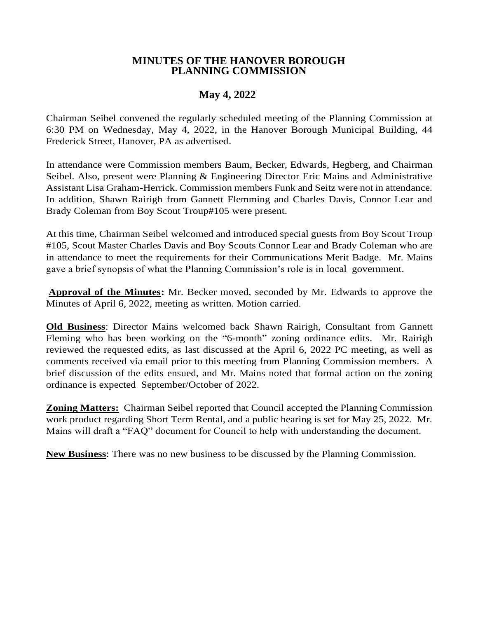## **MINUTES OF THE HANOVER BOROUGH PLANNING COMMISSION**

## **May 4, 2022**

Chairman Seibel convened the regularly scheduled meeting of the Planning Commission at 6:30 PM on Wednesday, May 4, 2022, in the Hanover Borough Municipal Building, 44 Frederick Street, Hanover, PA as advertised.

In attendance were Commission members Baum, Becker, Edwards, Hegberg, and Chairman Seibel. Also, present were Planning & Engineering Director Eric Mains and Administrative Assistant Lisa Graham-Herrick. Commission members Funk and Seitz were not in attendance. In addition, Shawn Rairigh from Gannett Flemming and Charles Davis, Connor Lear and Brady Coleman from Boy Scout Troup#105 were present.

At this time, Chairman Seibel welcomed and introduced special guests from Boy Scout Troup #105, Scout Master Charles Davis and Boy Scouts Connor Lear and Brady Coleman who are in attendance to meet the requirements for their Communications Merit Badge. Mr. Mains gave a brief synopsis of what the Planning Commission's role is in local government.

**Approval of the Minutes:** Mr. Becker moved, seconded by Mr. Edwards to approve the Minutes of April 6, 2022, meeting as written. Motion carried.

**Old Business**: Director Mains welcomed back Shawn Rairigh, Consultant from Gannett Fleming who has been working on the "6-month" zoning ordinance edits. Mr. Rairigh reviewed the requested edits, as last discussed at the April 6, 2022 PC meeting, as well as comments received via email prior to this meeting from Planning Commission members. A brief discussion of the edits ensued, and Mr. Mains noted that formal action on the zoning ordinance is expected September/October of 2022.

**Zoning Matters:** Chairman Seibel reported that Council accepted the Planning Commission work product regarding Short Term Rental, and a public hearing is set for May 25, 2022. Mr. Mains will draft a "FAQ" document for Council to help with understanding the document.

**New Business**: There was no new business to be discussed by the Planning Commission.